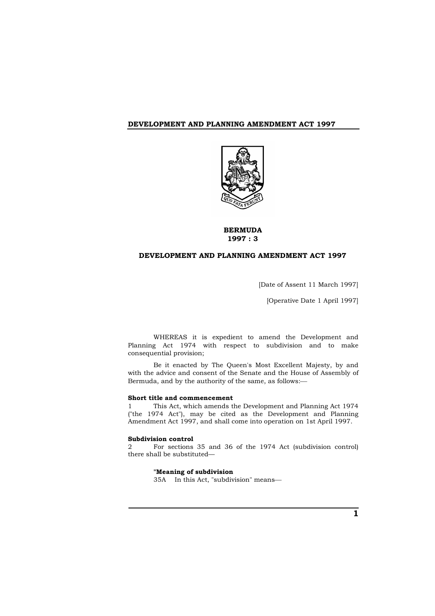

# **BERMUDA 1997 : 3**

# **DEVELOPMENT AND PLANNING AMENDMENT ACT 1997**

[Date of Assent 11 March 1997]

[Operative Date 1 April 1997]

WHEREAS it is expedient to amend the Development and Planning Act 1974 with respect to subdivision and to make consequential provision;

Be it enacted by The Queen's Most Excellent Majesty, by and with the advice and consent of the Senate and the House of Assembly of Bermuda, and by the authority of the same, as follows:

### **Short title and commencement**

1 This Act, which amends the Development and Planning Act 1974 ("the 1974 Act"), may be cited as the Development and Planning Amendment Act 1997, and shall come into operation on 1st April 1997.

# **Subdivision control**

2 For sections 35 and 36 of the 1974 Act (subdivision control) there shall be substituted—

# **"Meaning of subdivision**

35A In this Act, "subdivision" means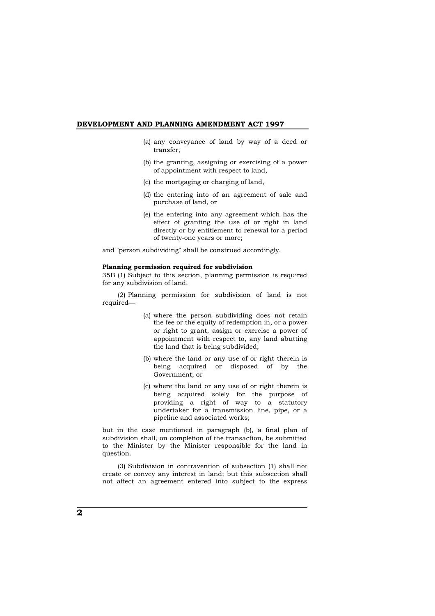- (a) any conveyance of land by way of a deed or transfer,
- (b) the granting, assigning or exercising of a power of appointment with respect to land,
- (c) the mortgaging or charging of land,
- (d) the entering into of an agreement of sale and purchase of land, or
- (e) the entering into any agreement which has the effect of granting the use of or right in land directly or by entitlement to renewal for a period of twenty-one years or more;

and "person subdividing" shall be construed accordingly.

# **Planning permission required for subdivision**

35B (1) Subject to this section, planning permission is required for any subdivision of land.

(2) Planning permission for subdivision of land is not required

- (a) where the person subdividing does not retain the fee or the equity of redemption in, or a power or right to grant, assign or exercise a power of appointment with respect to, any land abutting the land that is being subdivided;
- (b) where the land or any use of or right therein is being acquired or disposed of by the Government; or
- (c) where the land or any use of or right therein is being acquired solely for the purpose of providing a right of way to a statutory undertaker for a transmission line, pipe, or a pipeline and associated works;

but in the case mentioned in paragraph (b), a final plan of subdivision shall, on completion of the transaction, be submitted to the Minister by the Minister responsible for the land in question.

(3) Subdivision in contravention of subsection (1) shall not create or convey any interest in land; but this subsection shall not affect an agreement entered into subject to the express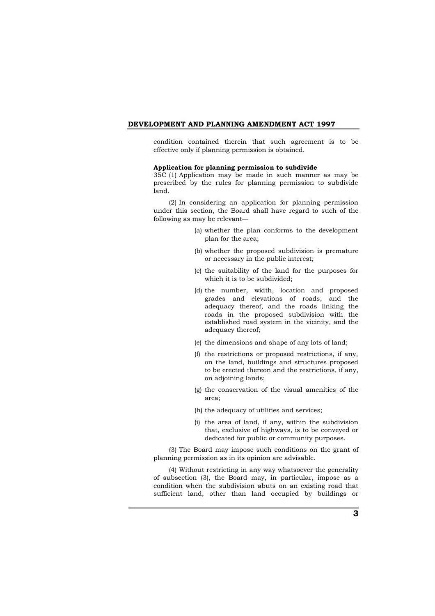condition contained therein that such agreement is to be effective only if planning permission is obtained.

### **Application for planning permission to subdivide**

35C (1) Application may be made in such manner as may be prescribed by the rules for planning permission to subdivide land.

(2) In considering an application for planning permission under this section, the Board shall have regard to such of the following as may be relevant—

- (a) whether the plan conforms to the development plan for the area;
- (b) whether the proposed subdivision is premature or necessary in the public interest;
- (c) the suitability of the land for the purposes for which it is to be subdivided;
- (d) the number, width, location and proposed grades and elevations of roads, and the adequacy thereof, and the roads linking the roads in the proposed subdivision with the established road system in the vicinity, and the adequacy thereof;
- (e) the dimensions and shape of any lots of land;
- (f) the restrictions or proposed restrictions, if any, on the land, buildings and structures proposed to be erected thereon and the restrictions, if any, on adjoining lands;
- (g) the conservation of the visual amenities of the area;
- (h) the adequacy of utilities and services;
- (i) the area of land, if any, within the subdivision that, exclusive of highways, is to be conveyed or dedicated for public or community purposes.

(3) The Board may impose such conditions on the grant of planning permission as in its opinion are advisable.

(4) Without restricting in any way whatsoever the generality of subsection (3), the Board may, in particular, impose as a condition when the subdivision abuts on an existing road that sufficient land, other than land occupied by buildings or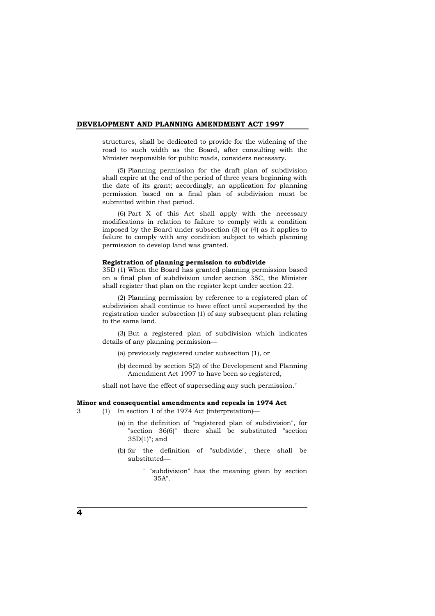structures, shall be dedicated to provide for the widening of the road to such width as the Board, after consulting with the Minister responsible for public roads, considers necessary.

(5) Planning permission for the draft plan of subdivision shall expire at the end of the period of three years beginning with the date of its grant; accordingly, an application for planning permission based on a final plan of subdivision must be submitted within that period.

(6) Part X of this Act shall apply with the necessary modifications in relation to failure to comply with a condition imposed by the Board under subsection (3) or (4) as it applies to failure to comply with any condition subject to which planning permission to develop land was granted.

#### **Registration of planning permission to subdivide**

35D (1) When the Board has granted planning permission based on a final plan of subdivision under section 35C, the Minister shall register that plan on the register kept under section 22.

(2) Planning permission by reference to a registered plan of subdivision shall continue to have effect until superseded by the registration under subsection (1) of any subsequent plan relating to the same land.

(3) But a registered plan of subdivision which indicates details of any planning permission

- (a) previously registered under subsection (1), or
- (b) deemed by section 5(2) of the Development and Planning Amendment Act 1997 to have been so registered,

shall not have the effect of superseding any such permission."

### **Minor and consequential amendments and repeals in 1974 Act**

3 (1) In section 1 of the 1974 Act (interpretation)

- (a) in the definition of "registered plan of subdivision", for "section 36(6)" there shall be substituted "section 35D(1)"; and
- (b) for the definition of "subdivide", there shall be substituted
	- " "subdivision" has the meaning given by section 35A".

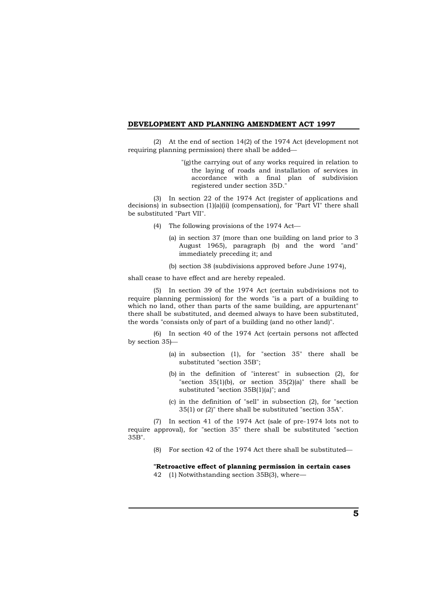(2) At the end of section 14(2) of the 1974 Act (development not requiring planning permission) there shall be added

> "(g)the carrying out of any works required in relation to the laying of roads and installation of services in accordance with a final plan of subdivision registered under section 35D."

(3) In section 22 of the 1974 Act (register of applications and decisions) in subsection (1)(a)(ii) (compensation), for "Part VI" there shall be substituted "Part VII".

- (4) The following provisions of the 1974 Act
	- (a) in section 37 (more than one building on land prior to 3 August 1965), paragraph (b) and the word "and" immediately preceding it; and
	- (b) section 38 (subdivisions approved before June 1974),

shall cease to have effect and are hereby repealed.

(5) In section 39 of the 1974 Act (certain subdivisions not to require planning permission) for the words "is a part of a building to which no land, other than parts of the same building, are appurtenant" there shall be substituted, and deemed always to have been substituted, the words "consists only of part of a building (and no other land)".

(6) In section 40 of the 1974 Act (certain persons not affected by section 35)

- (a) in subsection (1), for "section 35" there shall be substituted "section 35B";
- (b) in the definition of "interest" in subsection (2), for "section  $35(1)(b)$ , or section  $35(2)(a)$ " there shall be substituted "section 35B(1)(a)"; and
- (c) in the definition of "sell" in subsection (2), for "section 35(1) or (2)" there shall be substituted "section 35A".

(7) In section 41 of the 1974 Act (sale of pre-1974 lots not to require approval), for "section 35" there shall be substituted "section 35B".

(8) For section 42 of the 1974 Act there shall be substituted

**"Retroactive effect of planning permission in certain cases** 42 (1) Notwithstanding section 35B(3), where—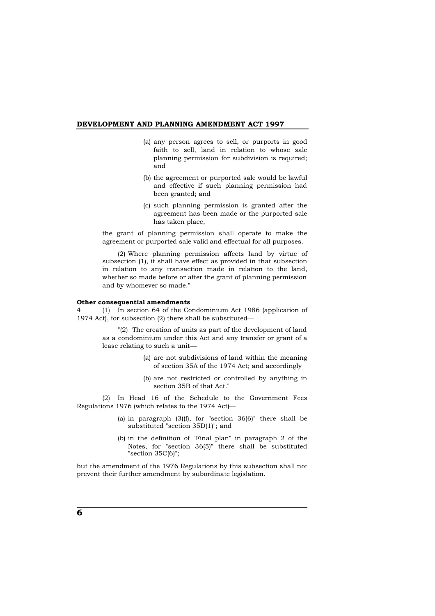- (a) any person agrees to sell, or purports in good faith to sell, land in relation to whose sale planning permission for subdivision is required; and
- (b) the agreement or purported sale would be lawful and effective if such planning permission had been granted; and
- (c) such planning permission is granted after the agreement has been made or the purported sale has taken place,

the grant of planning permission shall operate to make the agreement or purported sale valid and effectual for all purposes.

(2) Where planning permission affects land by virtue of subsection (1), it shall have effect as provided in that subsection in relation to any transaction made in relation to the land, whether so made before or after the grant of planning permission and by whomever so made."

#### **Other consequential amendments**

4 (1) In section 64 of the Condominium Act 1986 (application of 1974 Act), for subsection (2) there shall be substituted

> "(2) The creation of units as part of the development of land as a condominium under this Act and any transfer or grant of a lease relating to such a unit

- (a) are not subdivisions of land within the meaning of section 35A of the 1974 Act; and accordingly
- (b) are not restricted or controlled by anything in section 35B of that Act."

(2) In Head 16 of the Schedule to the Government Fees Regulations 1976 (which relates to the 1974 Act)

- (a) in paragraph  $(3)(f)$ , for "section  $36(6)$ " there shall be substituted "section 35D(1)"; and
- (b) in the definition of "Final plan" in paragraph 2 of the Notes, for "section 36(5)" there shall be substituted "section 35C(6)";

but the amendment of the 1976 Regulations by this subsection shall not prevent their further amendment by subordinate legislation.